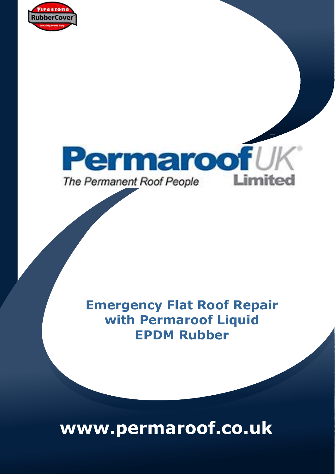



## **Emergency Flat Roof Repair with Permaroof Liquid EPDM Rubber**

# www.permaroof.co.uk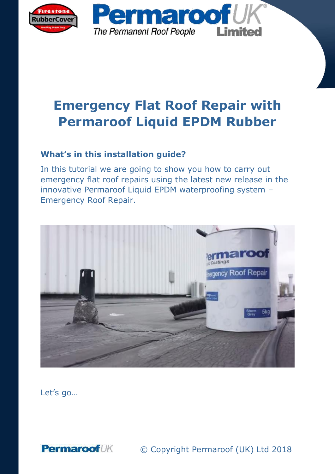

## **Emergency Flat Roof Repair with Permaroof Liquid EPDM Rubber**

#### **What's in this installation guide?**

In this tutorial we are going to show you how to carry out emergency flat roof repairs using the latest new release in the innovative Permaroof Liquid EPDM waterproofing system – Emergency Roof Repair.



Let's go…

**Permaroof**UK © Copyright Permaroof (UK) Ltd 2018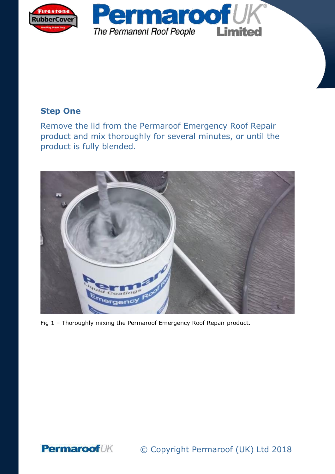

#### **Step One**

Remove the lid from the Permaroof Emergency Roof Repair product and mix thoroughly for several minutes, or until the product is fully blended.



Fig 1 – Thoroughly mixing the Permaroof Emergency Roof Repair product.

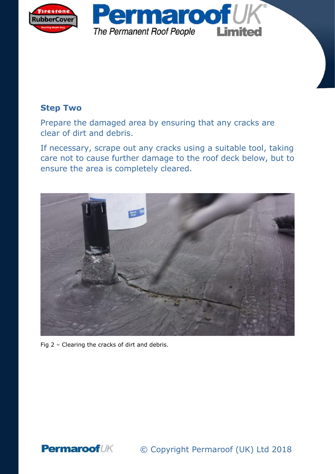

#### **Step Two**

Prepare the damaged area by ensuring that any cracks are clear of dirt and debris.

If necessary, scrape out any cracks using a suitable tool, taking care not to cause further damage to the roof deck below, but to ensure the area is completely cleared.



Fig 2 – Clearing the cracks of dirt and debris.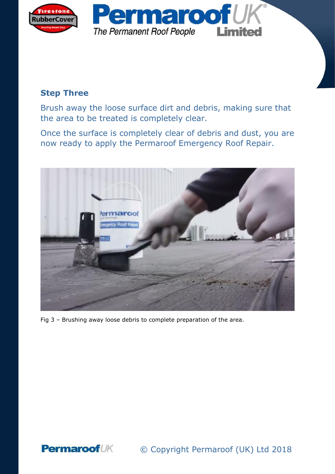

#### **Step Three**

Brush away the loose surface dirt and debris, making sure that the area to be treated is completely clear.

Once the surface is completely clear of debris and dust, you are now ready to apply the Permaroof Emergency Roof Repair.



Fig 3 – Brushing away loose debris to complete preparation of the area.

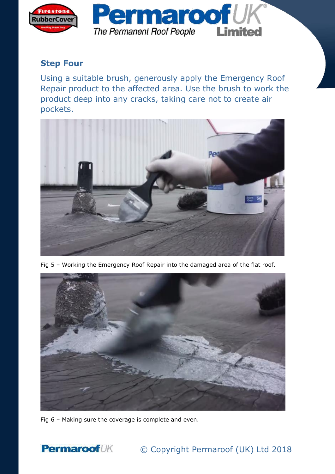

#### **Step Four**

Using a suitable brush, generously apply the Emergency Roof Repair product to the affected area. Use the brush to work the product deep into any cracks, taking care not to create air pockets.



Fig 5 – Working the Emergency Roof Repair into the damaged area of the flat roof.



Fig 6 – Making sure the coverage is complete and even.



#### **Permaroof**UK © Copyright Permaroof (UK) Ltd 2018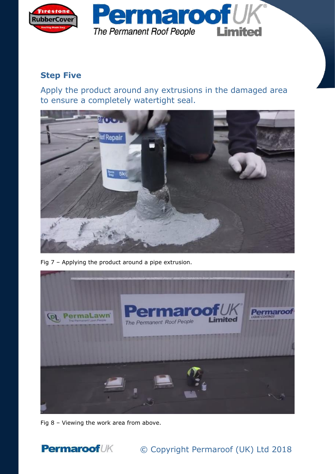

#### **Step Five**

Apply the product around any extrusions in the damaged area to ensure a completely watertight seal.



Fig 7 – Applying the product around a pipe extrusion.



Fig 8 – Viewing the work area from above.



### © Copyright Permaroof (UK) Ltd 2018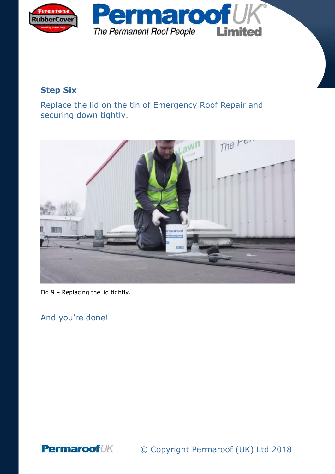

#### **Step Six**

Replace the lid on the tin of Emergency Roof Repair and securing down tightly.



Fig 9 – Replacing the lid tightly.

And you're done!